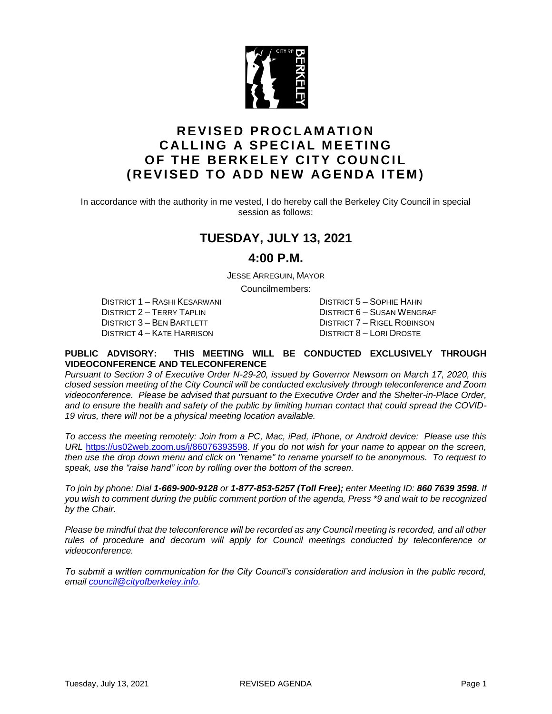

## **R E VI S E D P R OC L AM AT I O N CALLING A SPECIAL MEETING OF THE BERKELEY CITY COUNCIL (REVISED TO ADD NEW AGENDA ITEM)**

In accordance with the authority in me vested, I do hereby call the Berkeley City Council in special session as follows:

### **TUESDAY, JULY 13, 2021**

### **4:00 P.M.**

JESSE ARREGUIN, MAYOR

Councilmembers:

DISTRICT 1 – RASHI KESARWANI DISTRICT 5 – SOPHIE HAHN DISTRICT 2 – TERRY TAPLIN DISTRICT 6 – SUSAN WENGRAF DISTRICT 3 – BEN BARTLETT DISTRICT 7 – RIGEL ROBINSON DISTRICT 4 – KATE HARRISON DISTRICT 8 – LORI DROSTE

#### **PUBLIC ADVISORY: THIS MEETING WILL BE CONDUCTED EXCLUSIVELY THROUGH VIDEOCONFERENCE AND TELECONFERENCE**

*Pursuant to Section 3 of Executive Order N-29-20, issued by Governor Newsom on March 17, 2020, this closed session meeting of the City Council will be conducted exclusively through teleconference and Zoom videoconference. Please be advised that pursuant to the Executive Order and the Shelter-in-Place Order, and to ensure the health and safety of the public by limiting human contact that could spread the COVID-19 virus, there will not be a physical meeting location available.* 

*To access the meeting remotely: Join from a PC, Mac, iPad, iPhone, or Android device: Please use this URL* [https://us02web.zoom.us/j/86076393598.](https://us02web.zoom.us/j/86076393598) *If you do not wish for your name to appear on the screen, then use the drop down menu and click on "rename" to rename yourself to be anonymous. To request to speak, use the "raise hand" icon by rolling over the bottom of the screen.* 

*To join by phone: Dial 1-669-900-9128 or 1-877-853-5257 (Toll Free); enter Meeting ID: 860 7639 3598. If you wish to comment during the public comment portion of the agenda, Press \*9 and wait to be recognized by the Chair.* 

*Please be mindful that the teleconference will be recorded as any Council meeting is recorded, and all other*  rules of procedure and decorum will apply for Council meetings conducted by teleconference or *videoconference.*

*To submit a written communication for the City Council's consideration and inclusion in the public record, email [council@cityofberkeley.info.](mailto:council@cityofberkeley.info)*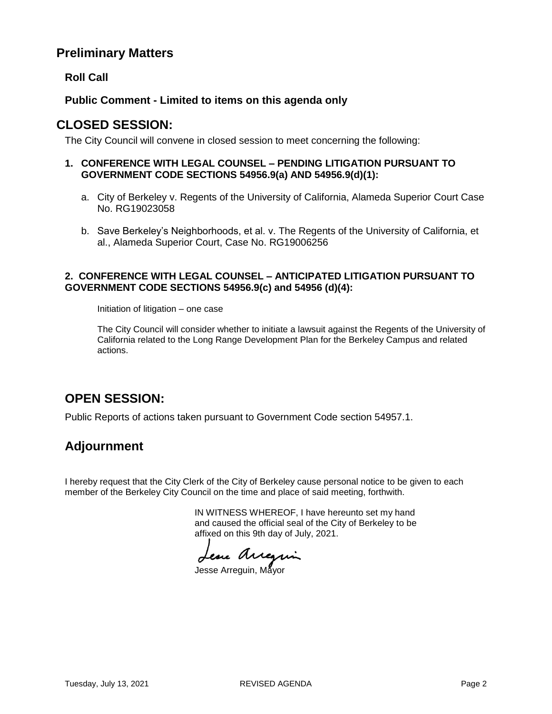### **Preliminary Matters**

**Roll Call**

**Public Comment - Limited to items on this agenda only**

### **CLOSED SESSION:**

The City Council will convene in closed session to meet concerning the following:

- **1. CONFERENCE WITH LEGAL COUNSEL – PENDING LITIGATION PURSUANT TO GOVERNMENT CODE SECTIONS 54956.9(a) AND 54956.9(d)(1):**
	- a. City of Berkeley v. Regents of the University of California, Alameda Superior Court Case No. RG19023058
	- b. Save Berkeley's Neighborhoods, et al. v. The Regents of the University of California, et al., Alameda Superior Court, Case No. RG19006256

#### **2. CONFERENCE WITH LEGAL COUNSEL – ANTICIPATED LITIGATION PURSUANT TO GOVERNMENT CODE SECTIONS 54956.9(c) and 54956 (d)(4):**

Initiation of litigation – one case

The City Council will consider whether to initiate a lawsuit against the Regents of the University of California related to the Long Range Development Plan for the Berkeley Campus and related actions.

# **OPEN SESSION:**

Public Reports of actions taken pursuant to Government Code section 54957.1.

## **Adjournment**

I hereby request that the City Clerk of the City of Berkeley cause personal notice to be given to each member of the Berkeley City Council on the time and place of said meeting, forthwith.

> IN WITNESS WHEREOF, I have hereunto set my hand and caused the official seal of the City of Berkeley to be affixed on this 9th day of July, 2021.

Lesse Arregin

Jesse Arreguin, Mayor